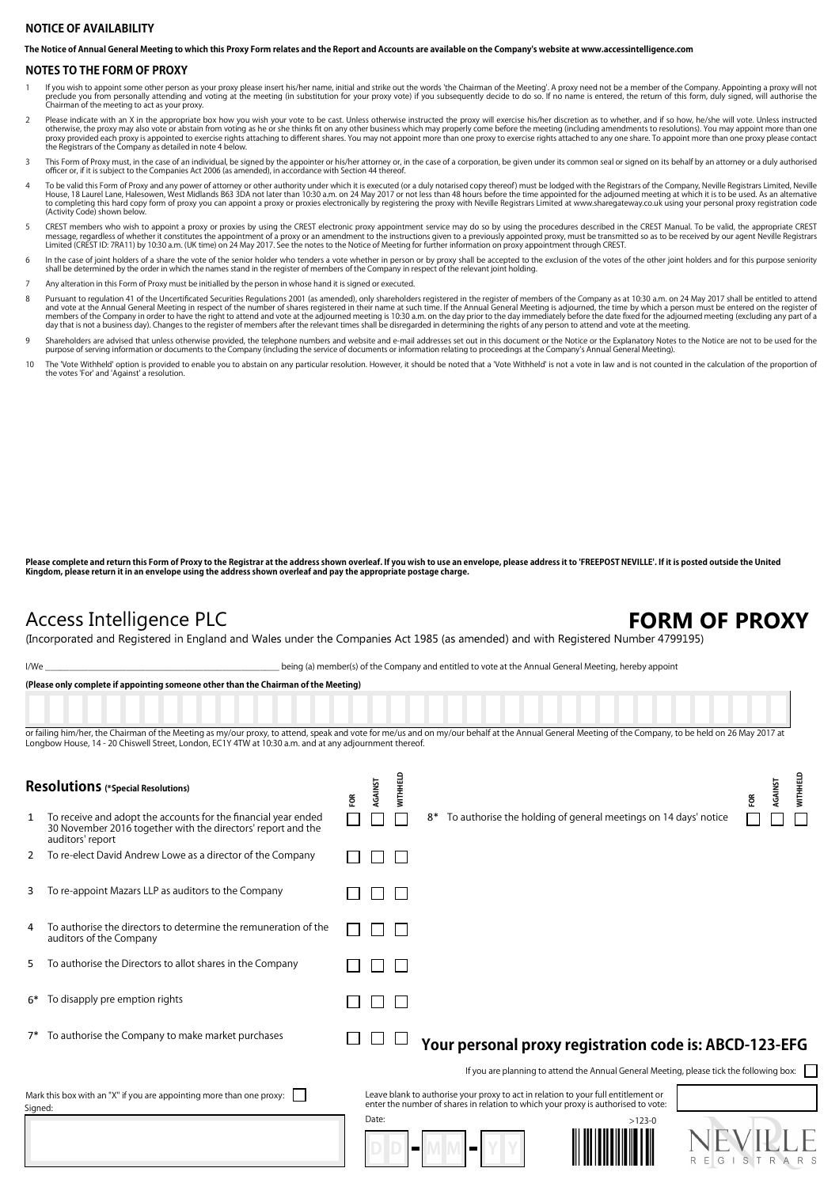### **NOTICE OF AVAILABILITY**

**The Notice of Annual General Meeting to which this Proxy Form relates and the Report and Accounts are available on the Company's website at www.accessintelligence.com**

#### **NOTES TO THE FORM OF PROXY**

- lf you wish to appoint some other person as your proxy please insert his/her name, initial and strike out the words 'the Chairman of the Meeting'. A proxy need not be a member of the Company. Appointing a proxy will not<br>pr 1
- Please indicate with an X in the appropriate box how you wish your vote to be cast. Unless otherwise instructed the proxy will exercise his/her discretion as to whether, and if so how, he/she will vote. Unless instructed<br>o  $\overline{2}$
- This Form of Proxy must, in the case of an individual, be signed by the appointer or his/her attorney or, in the case of a corporation, be given under its common seal or signed on its behalf by an attorney or a duly author 3
- To be valid this Form of Proxy and any power of attorney or other authority under which it is executed (or a duly notarised copy thereof) must be lodged with the Registrars of the Company, Neville Registrars Limited, Nevil (Activity Code) shown belo 4
- CREST members who wish to appoint a proxy or proxies by using the CREST electronic proxy appointment service may do so by using the procedures described in the CREST Manual. To be valid, the appropriate CREST (Appropriate 5
- In the case of joint holders of a share the vote of the senior holder who tenders a vote whether in person or by proxy shall be accepted to the exclusion of the votes of the other joint holders and for this purpose seniori 6
- 7 Any alteration in this Form of Proxy must be initialled by the person in whose hand it is signed or executed.
- Pursuant to regulation 41 of the Uncertificated Securities Regulations 2001 (as amended), only shareholders registered in the register of members of the Company as at 10:30 a.m. on 24 May 2017 shall be entitled to attend<br>a day that is not a business day). Changes to the register of members after the relevant times shall be disregarded in determining the rights of any person to attend and vote at the meeting. 8
- Shareholders are advised that unless otherwise provided, the telephone numbers and website and e-mail addresses set out in this document or the Notice or the Explanatory Notes to the Notice are not to be used for the<br>purpo 9
- The 'Vote Withheld' option is provided to enable you to abstain on any particular resolution. However, it should be noted that a 'Vote Withheld' is not a vote in law and is not counted in the calculation of the proportion the votes 'For' and 'Against' a resolution. 10

**Please complete and return this Form of Proxy to the Registrar at the address shown overleaf. If you wish to use an envelope, please address it to 'FREEPOST NEVILLE'. If it is posted outside the United Kingdom, please return it in an envelope using the address shown overleaf and pay the appropriate postage charge.**

## Access Intelligence PLC

## FORM OF PROXY

(Incorporated and Registered in England and Wales under the Companies Act 1985 (as amended) and with Registered Number 4799195)

I/We \_\_\_\_\_\_\_\_\_\_\_\_\_\_\_\_\_\_\_\_\_\_\_\_\_\_\_\_\_\_\_\_\_\_\_\_\_\_\_\_\_\_\_\_\_\_\_\_\_ being (a) member(s) of the Company and entitled to vote at the Annual General Meeting, hereby appoint

|                                                                                 | (Please only complete if appointing someone other than the Chairman of the Meeting)                                                                                                                                                                                                                            |  |         |                 |    |                                                                                                                                                                         |                                                                                          |          |        |      |                   |          |
|---------------------------------------------------------------------------------|----------------------------------------------------------------------------------------------------------------------------------------------------------------------------------------------------------------------------------------------------------------------------------------------------------------|--|---------|-----------------|----|-------------------------------------------------------------------------------------------------------------------------------------------------------------------------|------------------------------------------------------------------------------------------|----------|--------|------|-------------------|----------|
|                                                                                 |                                                                                                                                                                                                                                                                                                                |  |         |                 |    |                                                                                                                                                                         |                                                                                          |          |        |      |                   |          |
|                                                                                 | or failing him/her, the Chairman of the Meeting as my/our proxy, to attend, speak and vote for me/us and on my/our behalf at the Annual General Meeting of the Company, to be held on 26 May 2017 at<br>Longbow House, 14 - 20 Chiswell Street, London, EC1Y 4TW at 10:30 a.m. and at any adjournment thereof. |  |         |                 |    |                                                                                                                                                                         |                                                                                          |          |        |      |                   |          |
| <b>Resolutions</b> (*Special Resolutions)                                       |                                                                                                                                                                                                                                                                                                                |  | AGAINST | <b>WITHHELD</b> |    |                                                                                                                                                                         |                                                                                          |          |        | ទ្រី | AGAINST           | WITHHELD |
| 1                                                                               | To receive and adopt the accounts for the financial year ended<br>30 November 2016 together with the directors' report and the<br>auditors' report                                                                                                                                                             |  |         |                 | 8* | To authorise the holding of general meetings on 14 days' notice                                                                                                         |                                                                                          |          |        |      |                   |          |
| 2                                                                               | To re-elect David Andrew Lowe as a director of the Company                                                                                                                                                                                                                                                     |  |         |                 |    |                                                                                                                                                                         |                                                                                          |          |        |      |                   |          |
| 3                                                                               | To re-appoint Mazars LLP as auditors to the Company                                                                                                                                                                                                                                                            |  |         |                 |    |                                                                                                                                                                         |                                                                                          |          |        |      |                   |          |
| 4                                                                               | To authorise the directors to determine the remuneration of the<br>auditors of the Company                                                                                                                                                                                                                     |  |         |                 |    |                                                                                                                                                                         |                                                                                          |          |        |      |                   |          |
| 5                                                                               | To authorise the Directors to allot shares in the Company                                                                                                                                                                                                                                                      |  |         |                 |    |                                                                                                                                                                         |                                                                                          |          |        |      |                   |          |
|                                                                                 | 6* To disapply pre emption rights                                                                                                                                                                                                                                                                              |  |         |                 |    |                                                                                                                                                                         |                                                                                          |          |        |      |                   |          |
|                                                                                 | 7* To authorise the Company to make market purchases                                                                                                                                                                                                                                                           |  |         |                 |    | Your personal proxy registration code is: ABCD-123-EFG                                                                                                                  |                                                                                          |          |        |      |                   |          |
|                                                                                 |                                                                                                                                                                                                                                                                                                                |  |         |                 |    |                                                                                                                                                                         | If you are planning to attend the Annual General Meeting, please tick the following box: |          |        |      |                   |          |
| Mark this box with an "X" if you are appointing more than one proxy:<br>Signed: |                                                                                                                                                                                                                                                                                                                |  |         |                 |    | Leave blank to authorise your proxy to act in relation to your full entitlement or<br>enter the number of shares in relation to which your proxy is authorised to vote: |                                                                                          |          |        |      |                   |          |
|                                                                                 |                                                                                                                                                                                                                                                                                                                |  | Date:   |                 |    | −                                                                                                                                                                       |                                                                                          | $>123-0$ | R<br>G | S.   | R<br>$\mathsf{A}$ |          |